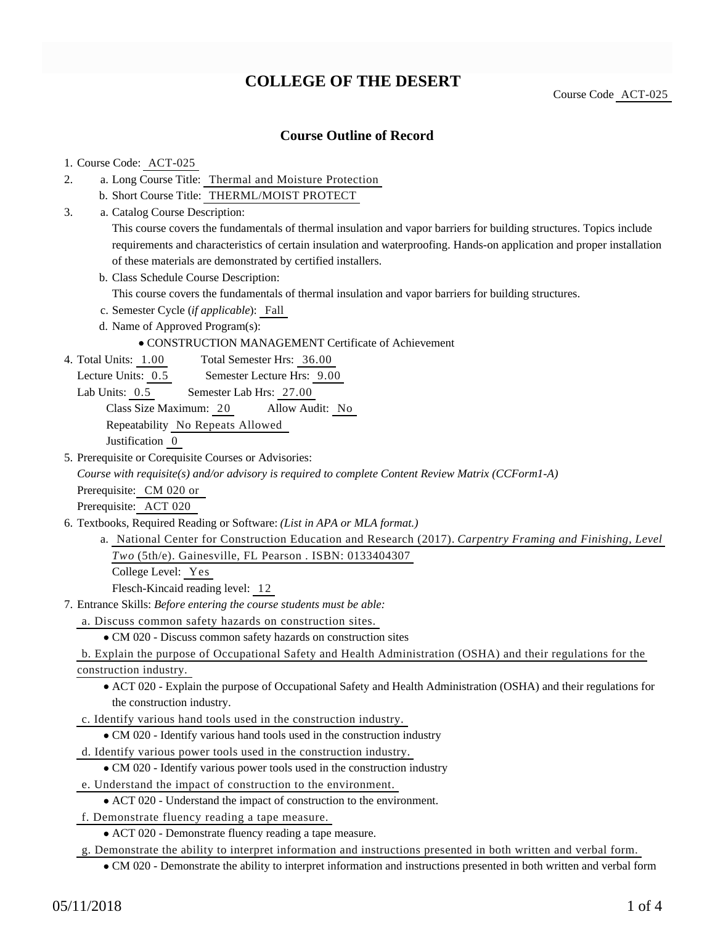# **COLLEGE OF THE DESERT**

Course Code ACT-025

### **Course Outline of Record**

#### 1. Course Code: ACT-025

- a. Long Course Title: Thermal and Moisture Protection 2.
	- b. Short Course Title: THERML/MOIST PROTECT
- Catalog Course Description: a. 3.

This course covers the fundamentals of thermal insulation and vapor barriers for building structures. Topics include requirements and characteristics of certain insulation and waterproofing. Hands-on application and proper installation of these materials are demonstrated by certified installers.

b. Class Schedule Course Description:

This course covers the fundamentals of thermal insulation and vapor barriers for building structures.

- c. Semester Cycle (*if applicable*): Fall
- d. Name of Approved Program(s):

#### CONSTRUCTION MANAGEMENT Certificate of Achievement

Total Semester Hrs: 36.00 4. Total Units: 1.00

Lecture Units: 0.5 Semester Lecture Hrs: 9.00

Lab Units:  $0.5$  Semester Lab Hrs: 27.00

Class Size Maximum: 20 Allow Audit: No

Repeatability No Repeats Allowed

Justification 0

5. Prerequisite or Corequisite Courses or Advisories:

*Course with requisite(s) and/or advisory is required to complete Content Review Matrix (CCForm1-A)*

Prerequisite: CM 020 or

Prerequisite: ACT 020

- 6. Textbooks, Required Reading or Software: (List in APA or MLA format.)
	- a. National Center for Construction Education and Research (2017). *Carpentry Framing and Finishing, Level Two* (5th/e). Gainesville, FL Pearson . ISBN: 0133404307

College Level: Yes

Flesch-Kincaid reading level: 12

- Entrance Skills: *Before entering the course students must be able:* 7.
	- a. Discuss common safety hazards on construction sites.
		- CM 020 Discuss common safety hazards on construction sites

b. Explain the purpose of Occupational Safety and Health Administration (OSHA) and their regulations for the construction industry.

- ACT 020 Explain the purpose of Occupational Safety and Health Administration (OSHA) and their regulations for the construction industry.
- c. Identify various hand tools used in the construction industry.
	- CM 020 Identify various hand tools used in the construction industry
- d. Identify various power tools used in the construction industry.

CM 020 - Identify various power tools used in the construction industry

- e. Understand the impact of construction to the environment.
	- ACT 020 Understand the impact of construction to the environment.
- f. Demonstrate fluency reading a tape measure.

ACT 020 - Demonstrate fluency reading a tape measure.

g. Demonstrate the ability to interpret information and instructions presented in both written and verbal form.

CM 020 - Demonstrate the ability to interpret information and instructions presented in both written and verbal form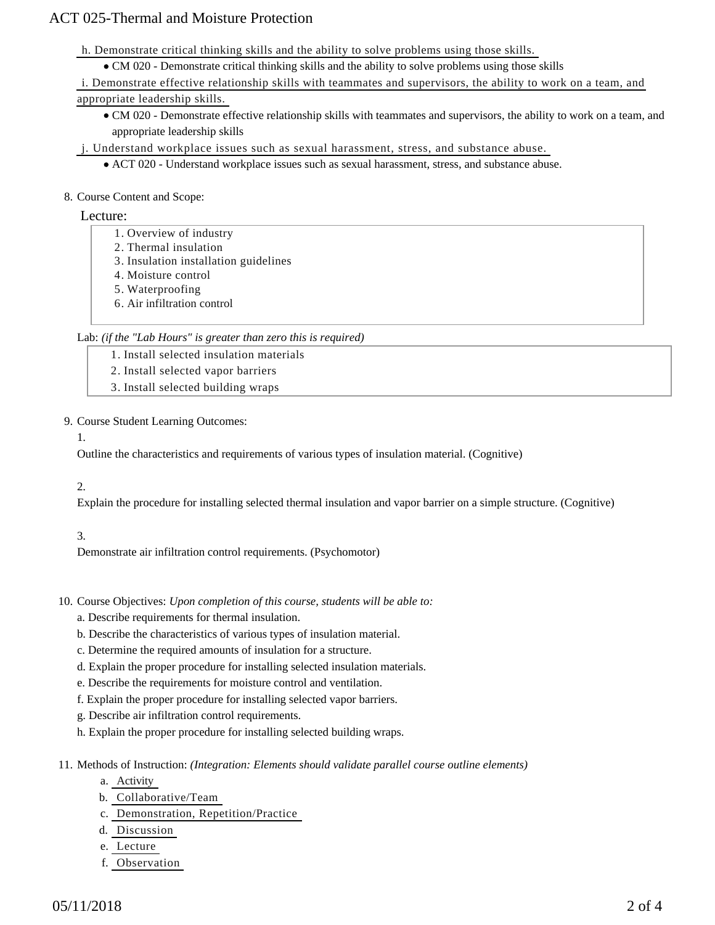## ACT 025-Thermal and Moisture Protection

- h. Demonstrate critical thinking skills and the ability to solve problems using those skills.
	- CM 020 Demonstrate critical thinking skills and the ability to solve problems using those skills
- i. Demonstrate effective relationship skills with teammates and supervisors, the ability to work on a team, and appropriate leadership skills.
	- CM 020 Demonstrate effective relationship skills with teammates and supervisors, the ability to work on a team, and appropriate leadership skills
- j. Understand workplace issues such as sexual harassment, stress, and substance abuse.
	- ACT 020 Understand workplace issues such as sexual harassment, stress, and substance abuse.

#### 8. Course Content and Scope:

#### Lecture:

- 1. Overview of industry
- 2. Thermal insulation
- 3. Insulation installation guidelines
- 4. Moisture control
- 5. Waterproofing
- 6. Air infiltration control

#### Lab: *(if the "Lab Hours" is greater than zero this is required)*

- 1. Install selected insulation materials
- 2. Install selected vapor barriers
- 3. Install selected building wraps

#### 9. Course Student Learning Outcomes:

1.

Outline the characteristics and requirements of various types of insulation material. (Cognitive)

#### 2.

Explain the procedure for installing selected thermal insulation and vapor barrier on a simple structure. (Cognitive)

#### 3.

Demonstrate air infiltration control requirements. (Psychomotor)

- 10. Course Objectives: Upon completion of this course, students will be able to:
	- a. Describe requirements for thermal insulation.
	- b. Describe the characteristics of various types of insulation material.
	- c. Determine the required amounts of insulation for a structure.
	- d. Explain the proper procedure for installing selected insulation materials.
	- e. Describe the requirements for moisture control and ventilation.
	- f. Explain the proper procedure for installing selected vapor barriers.
	- g. Describe air infiltration control requirements.
	- h. Explain the proper procedure for installing selected building wraps.
- 11. Methods of Instruction: *(Integration: Elements should validate parallel course outline elements)* 
	- a. Activity
	- b. Collaborative/Team
	- c. Demonstration, Repetition/Practice
	- d. Discussion
	- e. Lecture
	- f. Observation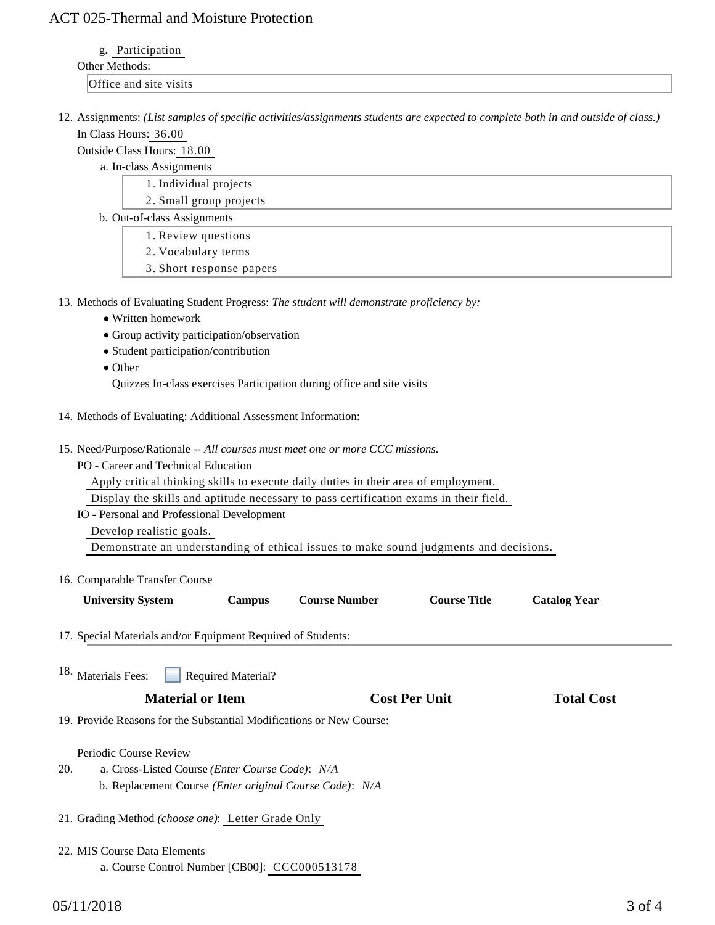### ACT 025-Thermal and Moisture Protection

g. Participation

| ∩ther<br>.                 |
|----------------------------|
| ally site visits<br>$\sim$ |

12. Assignments: (List samples of specific activities/assignments students are expected to complete both in and outside of class.) In Class Hours: 36.00

Outside Class Hours: 18.00

a. In-class Assignments

- 1. Individual projects
- 2. Small group projects
- b. Out-of-class Assignments
	- 1. Review questions
	- 2. Vocabulary terms
	- 3. Short response papers
- 13. Methods of Evaluating Student Progress: The student will demonstrate proficiency by:
	- Written homework
	- Group activity participation/observation
	- Student participation/contribution
	- Other

Quizzes In-class exercises Participation during office and site visits

- 14. Methods of Evaluating: Additional Assessment Information:
- 15. Need/Purpose/Rationale -- All courses must meet one or more CCC missions.

PO - Career and Technical Education

Apply critical thinking skills to execute daily duties in their area of employment.

Display the skills and aptitude necessary to pass certification exams in their field.

IO - Personal and Professional Development Develop realistic goals.

Demonstrate an understanding of ethical issues to make sound judgments and decisions.

| 16. Comparable Transfer Course |  |
|--------------------------------|--|
|--------------------------------|--|

| <b>University System</b>                                     | <b>Campus</b>             | <b>Course Number</b> | <b>Course Title</b> | <b>Catalog Year</b> |  |
|--------------------------------------------------------------|---------------------------|----------------------|---------------------|---------------------|--|
| 17. Special Materials and/or Equipment Required of Students: |                           |                      |                     |                     |  |
| 18. Materials Fees:                                          | <b>Required Material?</b> |                      |                     |                     |  |

## **Material or Item Cost Per Unit Total Cost Per Unit Total Cost Per Unit Algebra**

19. Provide Reasons for the Substantial Modifications or New Course:

#### Periodic Course Review

- a. Cross-Listed Course *(Enter Course Code)*: *N/A* b. Replacement Course *(Enter original Course Code)*: *N/A* 20.
- 21. Grading Method *(choose one)*: Letter Grade Only
- 22. MIS Course Data Elements
	- a. Course Control Number [CB00]: CCC000513178